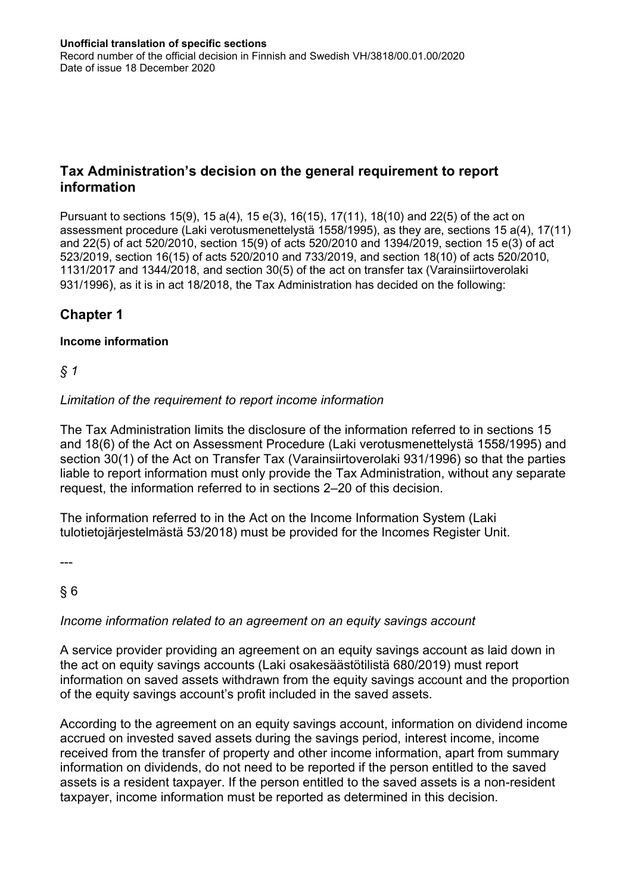## **Tax Administration's decision on the general requirement to report information**

Pursuant to sections 15(9), 15 a(4), 15 e(3), 16(15), 17(11), 18(10) and 22(5) of the act on assessment procedure (Laki verotusmenettelystä 1558/1995), as they are, sections 15 a(4), 17(11) and 22(5) of act 520/2010, section 15(9) of acts 520/2010 and 1394/2019, section 15 e(3) of act 523/2019, section 16(15) of acts 520/2010 and 733/2019, and section 18(10) of acts 520/2010, 1131/2017 and 1344/2018, and section 30(5) of the [act on transfer tax \(Varainsiirtoverolaki](http://www.edilex.fi/saadokset/lainsaadanto/19960931/P30)  [931/1996](http://www.edilex.fi/saadokset/lainsaadanto/19960931/P30)), as it is in act 18/2018, the Tax Administration has decided on the following:

# **Chapter 1**

#### **Income information**

*§ 1*

#### *Limitation of the requirement to report income information*

The Tax Administration limits the disclosure of the information referred to in sections 15 and 18(6) of the Act on Assessment Procedure (Laki verotusmenettelystä 1558/1995) and section 30(1) of the Act on Transfer Tax (Varainsiirtoverolaki 931/1996) so that the parties liable to report information must only provide the Tax Administration, without any separate request, the information referred to in sections 2–20 of this decision.

The information referred to in the Act on the Income Information System (Laki tulotietojärjestelmästä 53/2018) must be provided for the Incomes Register Unit.

---

§ 6

#### *Income information related to an agreement on an equity savings account*

A service provider providing an agreement on an equity savings account as laid down in the act on equity savings accounts (Laki osakesäästötilistä 680/2019) must report information on saved assets withdrawn from the equity savings account and the proportion of the equity savings account's profit included in the saved assets.

According to the agreement on an equity savings account, information on dividend income accrued on invested saved assets during the savings period, interest income, income received from the transfer of property and other income information, apart from summary information on dividends, do not need to be reported if the person entitled to the saved assets is a resident taxpayer. If the person entitled to the saved assets is a non-resident taxpayer, income information must be reported as determined in this decision.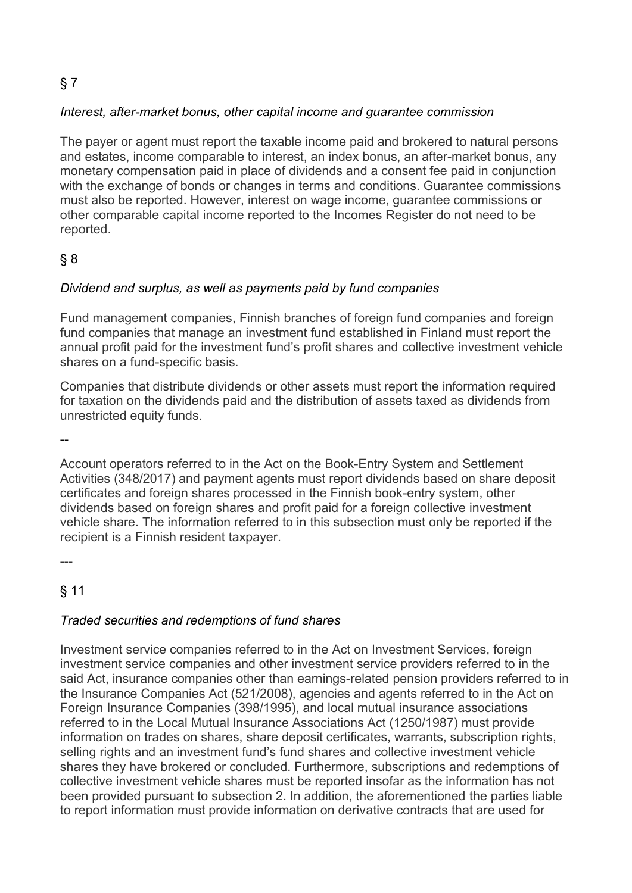# § 7

#### *Interest, after-market bonus, other capital income and guarantee commission*

The payer or agent must report the taxable income paid and brokered to natural persons and estates, income comparable to interest, an index bonus, an after-market bonus, any monetary compensation paid in place of dividends and a consent fee paid in conjunction with the exchange of bonds or changes in terms and conditions. Guarantee commissions must also be reported. However, interest on wage income, guarantee commissions or other comparable capital income reported to the Incomes Register do not need to be reported.

## § 8

#### *Dividend and surplus, as well as payments paid by fund companies*

Fund management companies, Finnish branches of foreign fund companies and foreign fund companies that manage an investment fund established in Finland must report the annual profit paid for the investment fund's profit shares and collective investment vehicle shares on a fund-specific basis.

Companies that distribute dividends or other assets must report the information required for taxation on the dividends paid and the distribution of assets taxed as dividends from unrestricted equity funds.

--

Account operators referred to in the Act on the Book-Entry System and Settlement Activities (348/2017) and payment agents must report dividends based on share deposit certificates and foreign shares processed in the Finnish book-entry system, other dividends based on foreign shares and profit paid for a foreign collective investment vehicle share. The information referred to in this subsection must only be reported if the recipient is a Finnish resident taxpayer.

 $---$ 

# § 11

#### *Traded securities and redemptions of fund shares*

Investment service companies referred to in the Act on Investment Services, foreign investment service companies and other investment service providers referred to in the said Act, insurance companies other than earnings-related pension providers referred to in the Insurance Companies Act (521/2008), agencies and agents referred to in the Act on Foreign Insurance Companies (398/1995), and local mutual insurance associations referred to in the Local Mutual Insurance Associations Act (1250/1987) must provide information on trades on shares, share deposit certificates, warrants, subscription rights, selling rights and an investment fund's fund shares and collective investment vehicle shares they have brokered or concluded. Furthermore, subscriptions and redemptions of collective investment vehicle shares must be reported insofar as the information has not been provided pursuant to subsection 2. In addition, the aforementioned the parties liable to report information must provide information on derivative contracts that are used for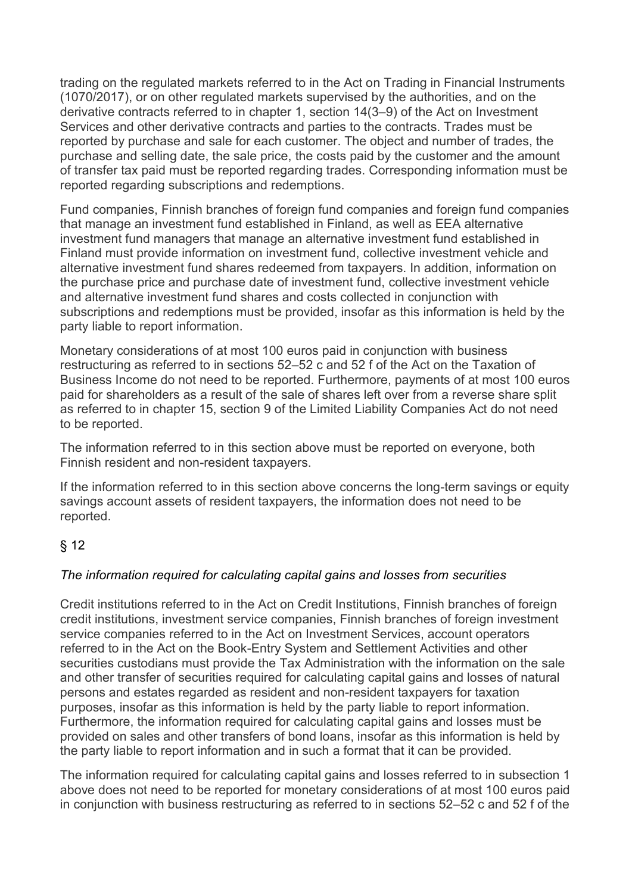trading on the regulated markets referred to in the Act on Trading in Financial Instruments (1070/2017), or on other regulated markets supervised by the authorities, and on the derivative contracts referred to in chapter 1, section 14(3–9) of the Act on Investment Services and other derivative contracts and parties to the contracts. Trades must be reported by purchase and sale for each customer. The object and number of trades, the purchase and selling date, the sale price, the costs paid by the customer and the amount of transfer tax paid must be reported regarding trades. Corresponding information must be reported regarding subscriptions and redemptions.

Fund companies, Finnish branches of foreign fund companies and foreign fund companies that manage an investment fund established in Finland, as well as EEA alternative investment fund managers that manage an alternative investment fund established in Finland must provide information on investment fund, collective investment vehicle and alternative investment fund shares redeemed from taxpayers. In addition, information on the purchase price and purchase date of investment fund, collective investment vehicle and alternative investment fund shares and costs collected in conjunction with subscriptions and redemptions must be provided, insofar as this information is held by the party liable to report information.

Monetary considerations of at most 100 euros paid in conjunction with business restructuring as referred to in sections 52–52 c and 52 f of the Act on the Taxation of Business Income do not need to be reported. Furthermore, payments of at most 100 euros paid for shareholders as a result of the sale of shares left over from a reverse share split as referred to in chapter 15, section 9 of the Limited Liability Companies Act do not need to be reported.

The information referred to in this section above must be reported on everyone, both Finnish resident and non-resident taxpayers.

If the information referred to in this section above concerns the long-term savings or equity savings account assets of resident taxpayers, the information does not need to be reported.

## § 12

#### *The information required for calculating capital gains and losses from securities*

Credit institutions referred to in the Act on Credit Institutions, Finnish branches of foreign credit institutions, investment service companies, Finnish branches of foreign investment service companies referred to in the Act on Investment Services, account operators referred to in the Act on the Book-Entry System and Settlement Activities and other securities custodians must provide the Tax Administration with the information on the sale and other transfer of securities required for calculating capital gains and losses of natural persons and estates regarded as resident and non-resident taxpayers for taxation purposes, insofar as this information is held by the party liable to report information. Furthermore, the information required for calculating capital gains and losses must be provided on sales and other transfers of bond loans, insofar as this information is held by the party liable to report information and in such a format that it can be provided.

The information required for calculating capital gains and losses referred to in subsection 1 above does not need to be reported for monetary considerations of at most 100 euros paid in conjunction with business restructuring as referred to in sections 52–52 c and 52 f of the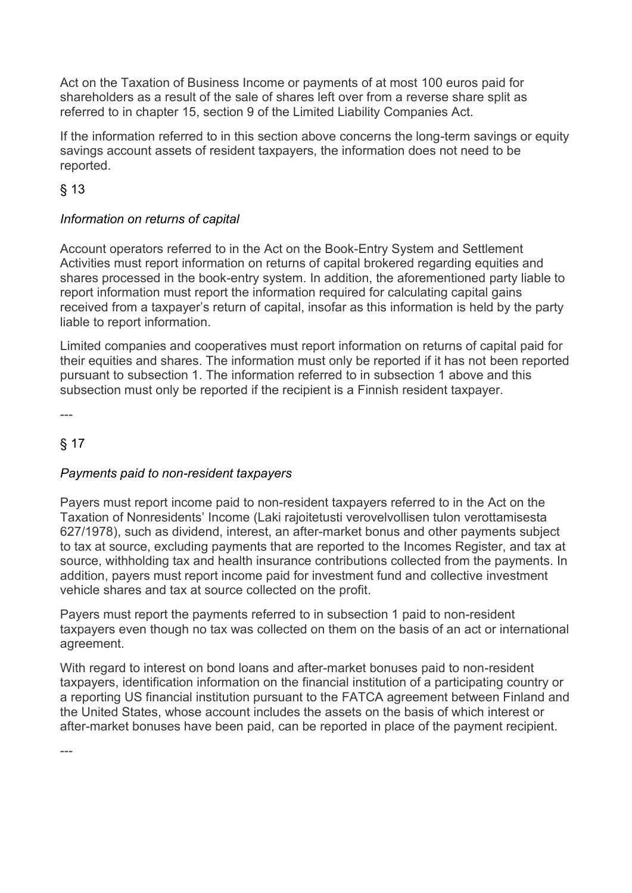Act on the Taxation of Business Income or payments of at most 100 euros paid for shareholders as a result of the sale of shares left over from a reverse share split as referred to in chapter 15, section 9 of the Limited Liability Companies Act.

If the information referred to in this section above concerns the long-term savings or equity savings account assets of resident taxpayers, the information does not need to be reported.

# § 13

### *Information on returns of capital*

Account operators referred to in the Act on the Book-Entry System and Settlement Activities must report information on returns of capital brokered regarding equities and shares processed in the book-entry system. In addition, the aforementioned party liable to report information must report the information required for calculating capital gains received from a taxpayer's return of capital, insofar as this information is held by the party liable to report information.

Limited companies and cooperatives must report information on returns of capital paid for their equities and shares. The information must only be reported if it has not been reported pursuant to subsection 1. The information referred to in subsection 1 above and this subsection must only be reported if the recipient is a Finnish resident taxpayer.

---

## § 17

## *Payments paid to non-resident taxpayers*

Payers must report income paid to non-resident taxpayers referred to in the Act on the Taxation of Nonresidents' Income (Laki rajoitetusti verovelvollisen tulon verottamisesta 627/1978), such as dividend, interest, an after-market bonus and other payments subject to tax at source, excluding payments that are reported to the Incomes Register, and tax at source, withholding tax and health insurance contributions collected from the payments. In addition, payers must report income paid for investment fund and collective investment vehicle shares and tax at source collected on the profit.

Payers must report the payments referred to in subsection 1 paid to non-resident taxpayers even though no tax was collected on them on the basis of an act or international agreement.

With regard to interest on bond loans and after-market bonuses paid to non-resident taxpayers, identification information on the financial institution of a participating country or a reporting US financial institution pursuant to the FATCA agreement between Finland and the United States, whose account includes the assets on the basis of which interest or after-market bonuses have been paid, can be reported in place of the payment recipient.

---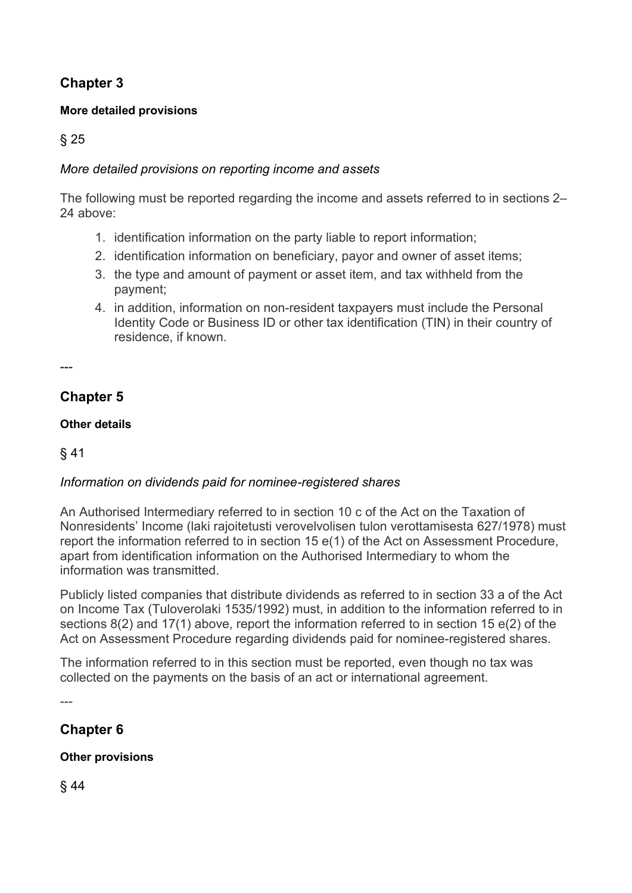# **Chapter 3**

## **More detailed provisions**

§ 25

## *More detailed provisions on reporting income and assets*

The following must be reported regarding the income and assets referred to in sections 2– 24 above:

- 1. identification information on the party liable to report information;
- 2. identification information on beneficiary, payor and owner of asset items;
- 3. the type and amount of payment or asset item, and tax withheld from the payment;
- 4. in addition, information on non-resident taxpayers must include the Personal Identity Code or Business ID or other tax identification (TIN) in their country of residence, if known.

---

# **Chapter 5**

### **Other details**

## § 41

## *Information on dividends paid for nominee-registered shares*

An Authorised Intermediary referred to in section 10 c of the Act on the Taxation of Nonresidents' Income (laki rajoitetusti verovelvolisen tulon verottamisesta 627/1978) must report the information referred to in section 15 e(1) of the Act on Assessment Procedure, apart from identification information on the Authorised Intermediary to whom the information was transmitted.

Publicly listed companies that distribute dividends as referred to in section 33 a of the Act on Income Tax (Tuloverolaki 1535/1992) must, in addition to the information referred to in sections 8(2) and 17(1) above, report the information referred to in section 15 e(2) of the Act on Assessment Procedure regarding dividends paid for nominee-registered shares.

The information referred to in this section must be reported, even though no tax was collected on the payments on the basis of an act or international agreement.

---

# **Chapter 6**

## **Other provisions**

§ 44